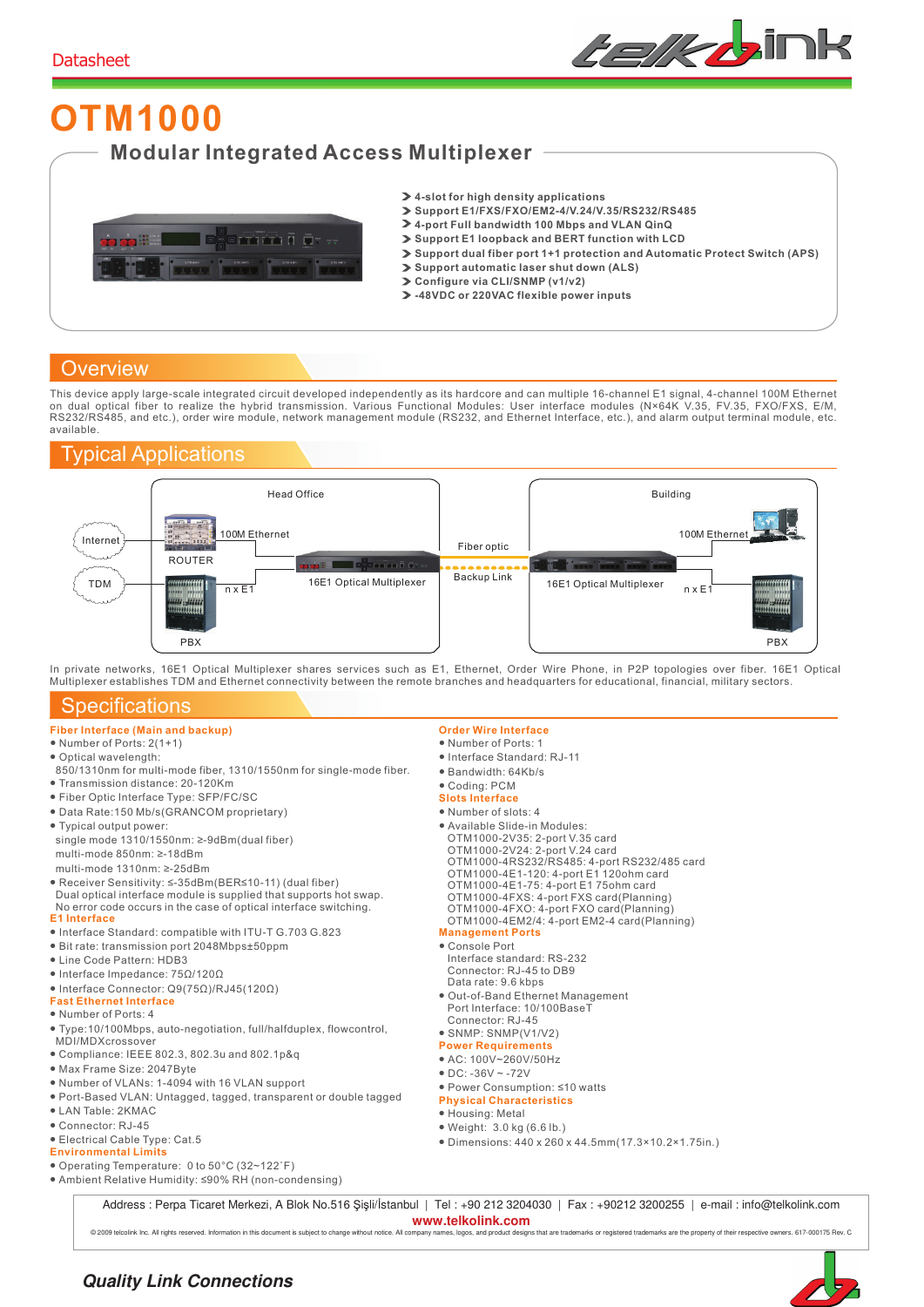

# **OTM1000 Modular Integrated Access Multiplexer**



- **4-slot for high density applications**
- **Support E1/FXS/FXO/EM2-4/V.24/V.35/RS232/RS485**
- **4-port Full bandwidth 100 Mbps and VLAN QinQ**
- **Support E1 loopback and BERT function with LCD**
- **Support dual fiber port 1+1 protection and Automatic Protect Switch (APS)**
- **Support automatic laser shut down (ALS)**
- **Configure via CLI/SNMP (v1/v2)**
- **-48VDC or 220VAC flexible power inputs**

#### **Overview**

This device apply large-scale integrated circuit developed independently as its hardcore and can multiple 16-channel E1 signal, 4-channel 100M Ethernet<br>on dual optical fiber to realize the hybrid transmission. Various Func RS232/RS485, and etc.), order wire module, network management module (RS232, and Ethernet Interface, etc.), and alarm output terminal module, etc. available.

### Typical Applications



In private networks, 16E1 Optical Multiplexer shares services such as E1, Ethernet, Order Wire Phone, in P2P topologies over fiber. 16E1 Optical Multiplexer establishes TDM and Ethernet connectivity between the remote branches and headquarters for educational, financial, military sectors.

#### **Specifications**

- **Fiber Interface (Main and backup)**
- Number of Ports: 2(1+1)
- Optical wavelength:
- 850/1310nm for multi-mode fiber, 1310/1550nm for single-mode fiber. ● Transmission distance: 20-120Km
- 
- Fiber Optic Interface Type: SFP/FC/SC
- Data Rate:150 Mb/s(GRANCOM proprietary)
- Typical output power: single mode 1310/1550nm: ≥-9dBm(dual fiber) multi-mode 850nm: ≥-18dBm
- multi-mode 1310nm: ≥-25dBm
- **E1 Interface** ● Receiver Sensitivity: ≤-35dBm(BER≤10-11) (dual fiber) Dual optical interface module is supplied that supports hot swap. No error code occurs in the case of optical interface switching.
- Interface Standard: compatible with ITU-T G.703 G.823
- Bit rate: transmission port 2048Mbps±50ppm
- Line Code Pattern: HDB3
- Interface Impedance: 75Ω/120Ω
- Interface Connector: Q9(75Ω)/RJ45(120Ω)
- **Fast Ethernet Interface**
- Number of Ports: 4
- Type:10/100Mbps, auto-negotiation, full/halfduplex, flowcontrol,
- MDI/MDXcrossover
- Compliance: IEEE 802.3, 802.3u and 802.1p&q
- Max Frame Size: 2047Byte
- Number of VLANs: 1-4094 with 16 VLAN support
- Port-Based VLAN: Untagged, tagged, transparent or double tagged
- LAN Table: 2KMAC
- Connector: RJ-45
- Electrical Cable Type: Cat.5
- **Environmental Limits**

#### ● Operating Temperature: 0 to 50°C (32~122˚F)

● Ambient Relative Humidity: ≤90% RH (non-condensing)

- **Order Wire Interface**
- Number of Ports: 1
- Interface Standard: RJ-11
- Bandwidth: 64Kb/s
- Coding: PCM
- **Slots Interface**
- Number of slots: 4
- Available Slide-in Modules:
- 
- OTM1000-2V35: 2-port V.35 card OTM1000-2V24: 2-port V.24 card
- OTM1000-4RS232/RS485: 4-port RS232/485 card
- OTM1000-4E1-120: 4-port E1 120ohm card OTM1000-4E1-75: 4-port E1 75ohm card
- 
- OTM1000-4FXS: 4-port FXS card(Planning)
- OTM1000-4FXO: 4-port FXO card(Planning) OTM1000-4EM2/4: 4-port EM2-4 card(Planning)
- **Management Ports**
- Console Port
	- Interface standard: RS-232 Connector: RJ-45 to DB9
- Data rate: 9.6 kbps
- Out-of-Band Ethernet Management Port Interface: 10/100BaseT
- Connector: RJ-45
- SNMP: SNMP(V1/V2)
- **Power Requirements**
- AC: 100V~260V/50Hz
- $\bullet$  DC: -36V ~ -72V
- Power Consumption: ≤10 watts
- **Physical Characteristics**
- Housing: Metal
- Weight: 3.0 kg (6.6 lb.)
- Dimensions: 440 x 260 x 44.5mm(17.3×10.2×1.75in.)

Address : Perpa Ticaret Merkezi, A Blok No.516 Şişli/İstanbul | Tel : +90 212 3204030 | Fax : +90212 3200255 | e-mail : info@telkolink.com **www.telkolink.com** 

@ 2009 teloolink Inc. All rights reserved. Information in this document is subject to change without notice. All company names, logos, and product designs that are trademarks or registered trademarks are the property of th